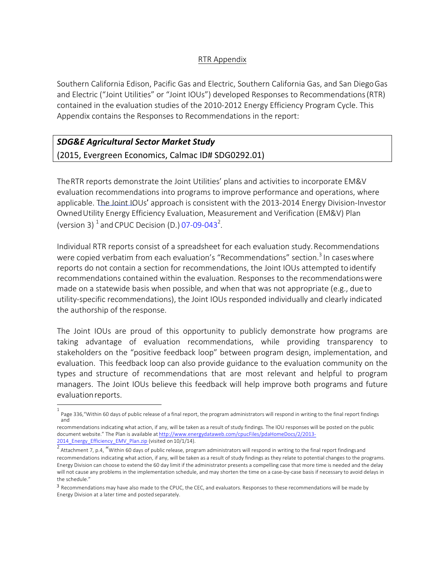## RTR Appendix

Southern California Edison, Pacific Gas and Electric, Southern California Gas, and San DiegoGas and Electric ("Joint Utilities" or "Joint IOUs") developed Responses to Recommendations(RTR) contained in the evaluation studies of the 2010-2012 Energy Efficiency Program Cycle. This Appendix contains the Responses to Recommendations in the report:

## *SDG&E Agricultural Sector Market Study* (2015, Evergreen Economics, Calmac ID# SDG0292.01)

TheRTR reports demonstrate the Joint Utilities' plans and activities to incorporate EM&V evaluation recommendations into programs to improve performance and operations, where applicable. The Joint IOUs' approach is consistent with the 2013-2014 Energy Division-Investor OwnedUtility Energy Efficiency Evaluation, Measurement and Verification (EM&V) Plan (version 3)  $^1$  and CPUC Decision (D.) 07-09-043<sup>2</sup>.

Individual RTR reports consist of a spreadsheet for each evaluation study.Recommendations were copied verbatim from each evaluation's "Recommendations" section.<sup>3</sup> In cases where reports do not contain a section for recommendations, the Joint IOUs attempted to identify recommendations contained within the evaluation. Responses to the recommendationswere made on a statewide basis when possible, and when that was not appropriate (e.g., dueto utility-specific recommendations), the Joint IOUs responded individually and clearly indicated the authorship of the response.

The Joint IOUs are proud of this opportunity to publicly demonstrate how programs are taking advantage of evaluation recommendations, while providing transparency to stakeholders on the "positive feedback loop" between program design, implementation, and evaluation. This feedback loop can also provide guidance to the evaluation community on the types and structure of recommendations that are most relevant and helpful to program managers. The Joint IOUs believe this feedback will help improve both programs and future evaluationreports.

<sup>1</sup> Page 336,"Within 60 days of public release of a final report, the program administrators will respond in writing to the final report findings and

recommendations indicating what action, if any, will be taken as a result of study findings. The IOU responses will be posted on the public document website." The Plan is available at http://www.energydataweb.com/cpucFiles/pdaHomeDocs/2/2013- 2014\_Energy\_Efficiency\_EMV\_Plan.zip (visited on 10/1/14).

Attachment 7, p.4, "Within 60 days of public release, program administrators will respond in writing to the final report findingsand recommendations indicating what action, if any, will be taken as a result of study findings as they relate to potential changes to the programs. Energy Division can choose to extend the 60 day limit if the administrator presents a compelling case that more time is needed and the delay will not cause any problems in the implementation schedule, and may shorten the time on a case-by-case basis if necessary to avoid delays in the schedule."

<sup>3</sup> Recommendations may have also made to the CPUC, the CEC, and evaluators. Responses to these recommendations will be made by Energy Division at a later time and posted separately.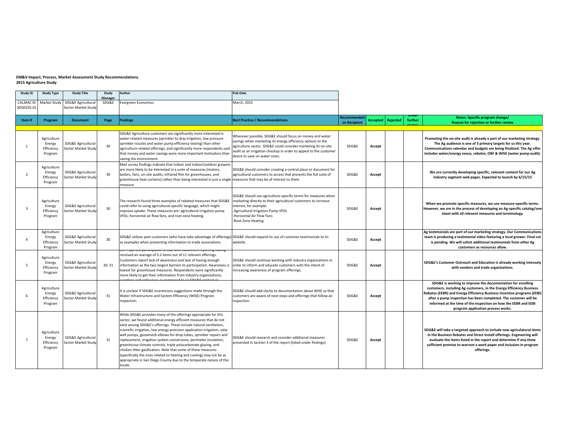## **EM&V** Impact, Process, Market Assessment Study Recommendations **2015 Agriculture Study**

| Study ID                 | <b>Study Type</b>                              | <b>Study Title</b>                                   | Study            | Author                                                                                                                                                                                                                                                                                                                                                                                                                                                                                                                                                                                                                                                                                                                        | <b>Pub Date</b>                                                                                                                                                                                                                                                                                  |                              |                 |                 |         |                                                                                                                                                                                                                                                                                                                                                                                             |
|--------------------------|------------------------------------------------|------------------------------------------------------|------------------|-------------------------------------------------------------------------------------------------------------------------------------------------------------------------------------------------------------------------------------------------------------------------------------------------------------------------------------------------------------------------------------------------------------------------------------------------------------------------------------------------------------------------------------------------------------------------------------------------------------------------------------------------------------------------------------------------------------------------------|--------------------------------------------------------------------------------------------------------------------------------------------------------------------------------------------------------------------------------------------------------------------------------------------------|------------------------------|-----------------|-----------------|---------|---------------------------------------------------------------------------------------------------------------------------------------------------------------------------------------------------------------------------------------------------------------------------------------------------------------------------------------------------------------------------------------------|
| <b>CALMAC ID</b>         |                                                | Market Study   SDG&E Agricultural                    | Manager<br>SDG&E | <b>Evergreen Economics</b>                                                                                                                                                                                                                                                                                                                                                                                                                                                                                                                                                                                                                                                                                                    | March, 2015                                                                                                                                                                                                                                                                                      |                              |                 |                 |         |                                                                                                                                                                                                                                                                                                                                                                                             |
| SDG0292.01               |                                                | Sector Market Study                                  |                  |                                                                                                                                                                                                                                                                                                                                                                                                                                                                                                                                                                                                                                                                                                                               |                                                                                                                                                                                                                                                                                                  |                              |                 |                 |         |                                                                                                                                                                                                                                                                                                                                                                                             |
| Item#                    | Program                                        | <b>Document</b>                                      | Page             | <b>Findings</b>                                                                                                                                                                                                                                                                                                                                                                                                                                                                                                                                                                                                                                                                                                               | <b>Best Practice / Recommendations</b>                                                                                                                                                                                                                                                           | Recommendati<br>on Recipient | <b>Accepted</b> | <b>Rejected</b> | further | Notes: Specific program change/<br>Reason for rejection or further review                                                                                                                                                                                                                                                                                                                   |
|                          |                                                |                                                      |                  |                                                                                                                                                                                                                                                                                                                                                                                                                                                                                                                                                                                                                                                                                                                               |                                                                                                                                                                                                                                                                                                  |                              |                 |                 |         |                                                                                                                                                                                                                                                                                                                                                                                             |
| $\overline{1}$           | Agriculture<br>Energy<br>Efficiency<br>Program | <b>SDG&amp;E Agricultural</b><br>Sector Market Study | 30               | SDG&E Agriculture customers are significantly more interested in<br>water-related measures (sprinkler to drip irrigation, low pressure<br>sprinkler nozzles and water pump efficiency testing) than other<br>agriculture-related offerings, and significantly more respondents said<br>that money and water savings were more important motivators than<br>saving the environment.                                                                                                                                                                                                                                                                                                                                            | Wherever possible, SDG&E should focus on money and water<br>savings when marketing its energy efficiency options to the<br>agriculture sector. SDG&E could consider marketing its on-site<br>audit as an irrigation checkup in order to appeal to the customer<br>desire to save on water costs. | SDG&E                        | Accept          |                 |         | Promoting the on-site audit is already a part of our marketing strategy.<br>The Ag audience is one of 3 primary targets for us this year.<br>Communications calendar and budgets are being finalized. The Ag offer<br>includes water/energy nexus, rebates, OBF & WISE (water pump audit).                                                                                                  |
| $\overline{\phantom{a}}$ | Agriculture<br>Energy<br>Efficiency<br>Program | <b>SDG&amp;E Agricultural</b><br>Sector Market Study | 30               | Mail survey findings indicate that indoor and indoor/outdoor growers<br>are more likely to be interested in a suite of measures (motors,<br>boilers, fans, on-site audits, infrared film for greenhouses, and<br>greenhouse heat curtains) rather than being interested in just a single measures that may be of interest to them.<br>measure.                                                                                                                                                                                                                                                                                                                                                                                | SDG&E should consider creating a central place or document for<br>agricultural customers to access that presents the full suite of                                                                                                                                                               | SDG&E                        | Accept          |                 |         | We are currently developing specific, relevant content for our Ag<br>industry segment web pages. Expected to launch by 6/15/15                                                                                                                                                                                                                                                              |
| $\overline{3}$           | Agriculture<br>Energy<br>Efficiency<br>Program | SDG&E Agricultural<br>Sector Market Study            | 30               | The research found three examples of rebated measures that SDG&E  marketing directly to their agricultural customers to increase<br>could refer to using agricultural-specific language, which might<br>improve uptake. These measures are: agricultural irrigation pump<br>VFDs, horizontal air flow fans, and root zone heating.                                                                                                                                                                                                                                                                                                                                                                                            | SDG&E should use agriculture-specific terms for measures when<br>interest, for example:<br>-Agricultural Irrigation Pump VFDs<br>-Horizontal Air Flow Fans<br>-Root Zone Heating                                                                                                                 | SDG&E                        | Accept          |                 |         | When we promote specific measures, we use measure-specific terms.<br>However, we are in the process of developing an Ag-specific catalog/one-<br>sheet with all relevent measures and terminology.                                                                                                                                                                                          |
|                          | Agriculture<br>Energy<br>Efficiency<br>Program | <b>SDG&amp;E Agricultural</b><br>Sector Market Study | 30               | SDG&E utilizes past customers (who have take advantage of offerings) SDG&E should expand its use of customer testimonials to its<br>as examples when presenting information to trade associations                                                                                                                                                                                                                                                                                                                                                                                                                                                                                                                             | website.                                                                                                                                                                                                                                                                                         | SDG&E                        | Accept          |                 |         | Ag testimonials are part of our marketing strategy. Our Communications<br>team is producing a testimonial video featuring a local grower. Final cut<br>is pending. We will solicit additional testimonials from other Ag<br>customers as resources allow.                                                                                                                                   |
| 5                        | Agriculture<br>Energy<br>Efficiency<br>Program | <b>SDG&amp;E Agricultural</b><br>Sector Market Studv | 30, 31           | ven-reported participation is low, with customers reporting naving<br>received an average of 0.2 items out of 11 relevant offerings.<br>Customers report lack of awareness and lack of having enough<br>information as the two largest barriers to participation. Awareness is<br>lowest for greenhouse measures. Respondents were significantly<br>more likely to get their information from industry organizations,                                                                                                                                                                                                                                                                                                         | SDG&E should continue working with industry organizations in<br>order to inform and educate customers with the intent of<br>increasing awareness of program offerings.                                                                                                                           | SDG&E                        | Accept          |                 |         | SDG&E's Customer Outreach and Education is already working intensely<br>with vendors and trade organizations.                                                                                                                                                                                                                                                                               |
| 6                        | Agriculture<br>Energy<br>Efficiency<br>Program | SDG&E Agricultural<br>Sector Market Study            | 31               | It is unclear if SDG&E incentivizes suggestions made through the<br>Water Infrastructure and System Efficiency (WISE) Program<br>inspection.                                                                                                                                                                                                                                                                                                                                                                                                                                                                                                                                                                                  | SDG&E should add clarity to documentation about WISE so that<br>customers are aware of next steps and offerings that follow an<br>inspection.                                                                                                                                                    | SDG&E                        | Accept          |                 |         | SDG&E is working to improve the documentation for enrolling<br>customers, including Ag customers, in the Energy Efficiency Business<br>Rebates (EEBR) and Energy Efficiency Business Incentive programs (EEBI)<br>after a pump inspection has been completed. The customer will be<br>informed at the time of the inspection on how the EEBR and EEBI<br>program application process works. |
| $\overline{7}$           | Agriculture<br>Energy<br>Efficiency<br>Program | <b>SDG&amp;E Agricultural</b><br>Sector Market Study | 31               | While SDG&E provides many of the offerings appropriate for this<br>sector, we found additional energy efficient measures that do not<br>exist among SDG&E's offerings. These include natural ventilation,<br>scientific irrigation, low energy precision application irrigation, solar<br>well pumps, gooseneck elbows for drop tubes, sprinkler repairs and<br>replacement, irrigation system conversions, perimeter insulation,<br>greenhouse climate controls, triple polycarbonate glazing, and<br>chicken litter gasification. Note that some of these measures<br>(specifically the ones related to heating and cooling) may not be as<br>appropriate in San Diego County due to the temperate nature of the<br>locale. | SDG&E should research and consider additional measures<br>presented in Section 3 of the report (listed under findings).                                                                                                                                                                          | SDG&E                        | Accept          |                 |         | SDG&E will take a targeted approach to include new agriculatural items<br>in the Business Rebates and Direct Install offerings. Engineering will<br>evaluate the items listed in the report and determine if any show<br>sufficient promise to warrant a work paper and inclusion in program<br>offerings.                                                                                  |